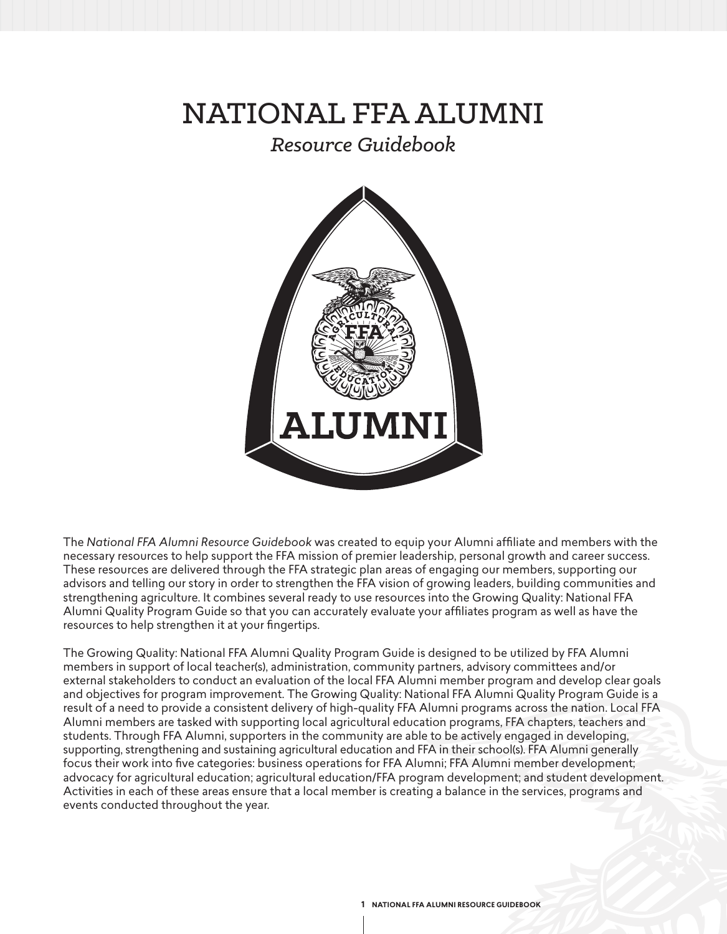# NATIONAL FFA ALUMNI

# *Resource Guidebook*



The *National FFA Alumni Resource Guidebook* was created to equip your Alumni affiliate and members with the necessary resources to help support the FFA mission of premier leadership, personal growth and career success. These resources are delivered through the FFA strategic plan areas of engaging our members, supporting our advisors and telling our story in order to strengthen the FFA vision of growing leaders, building communities and strengthening agriculture. It combines several ready to use resources into the Growing Quality: National FFA Alumni Quality Program Guide so that you can accurately evaluate your affiliates program as well as have the resources to help strengthen it at your fingertips.

The Growing Quality: National FFA Alumni Quality Program Guide is designed to be utilized by FFA Alumni members in support of local teacher(s), administration, community partners, advisory committees and/or external stakeholders to conduct an evaluation of the local FFA Alumni member program and develop clear goals and objectives for program improvement. The Growing Quality: National FFA Alumni Quality Program Guide is a result of a need to provide a consistent delivery of high-quality FFA Alumni programs across the nation. Local FFA Alumni members are tasked with supporting local agricultural education programs, FFA chapters, teachers and students. Through FFA Alumni, supporters in the community are able to be actively engaged in developing, supporting, strengthening and sustaining agricultural education and FFA in their school(s). FFA Alumni generally focus their work into five categories: business operations for FFA Alumni; FFA Alumni member development; advocacy for agricultural education; agricultural education/FFA program development; and student development. Activities in each of these areas ensure that a local member is creating a balance in the services, programs and events conducted throughout the year.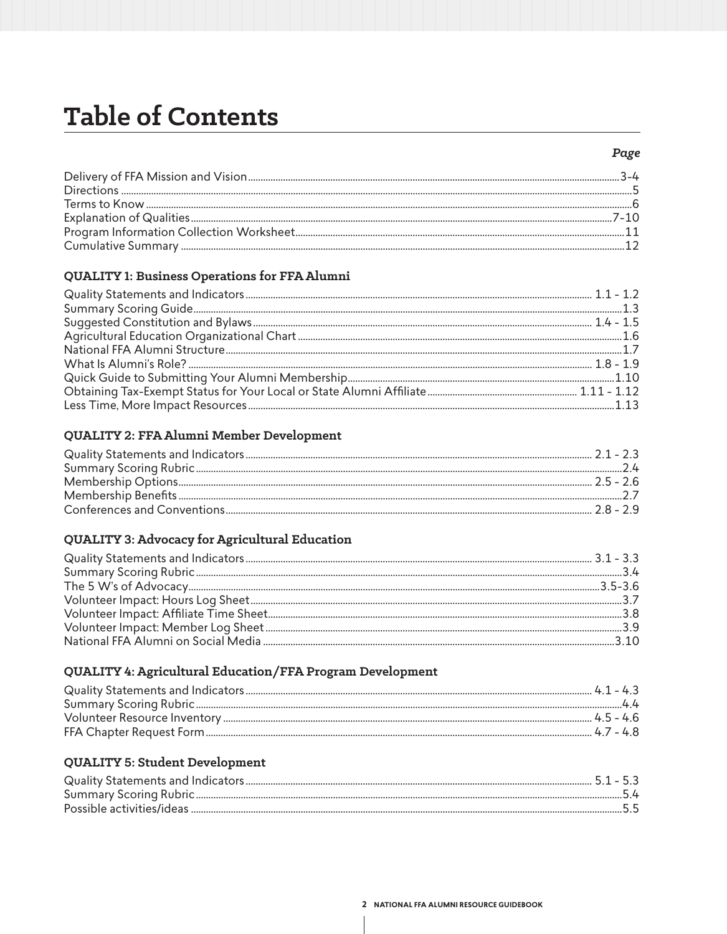# **Table of Contents**

# QUALITY 1: Business Operations for FFA Alumni

# QUALITY 2: FFA Alumni Member Development

# QUALITY 3: Advocacy for Agricultural Education

# QUALITY 4: Agricultural Education/FFA Program Development

|           | 41-43 |
|-----------|-------|
|           |       |
| $45 - 4h$ |       |
|           | 47-48 |

# **QUALITY 5: Student Development**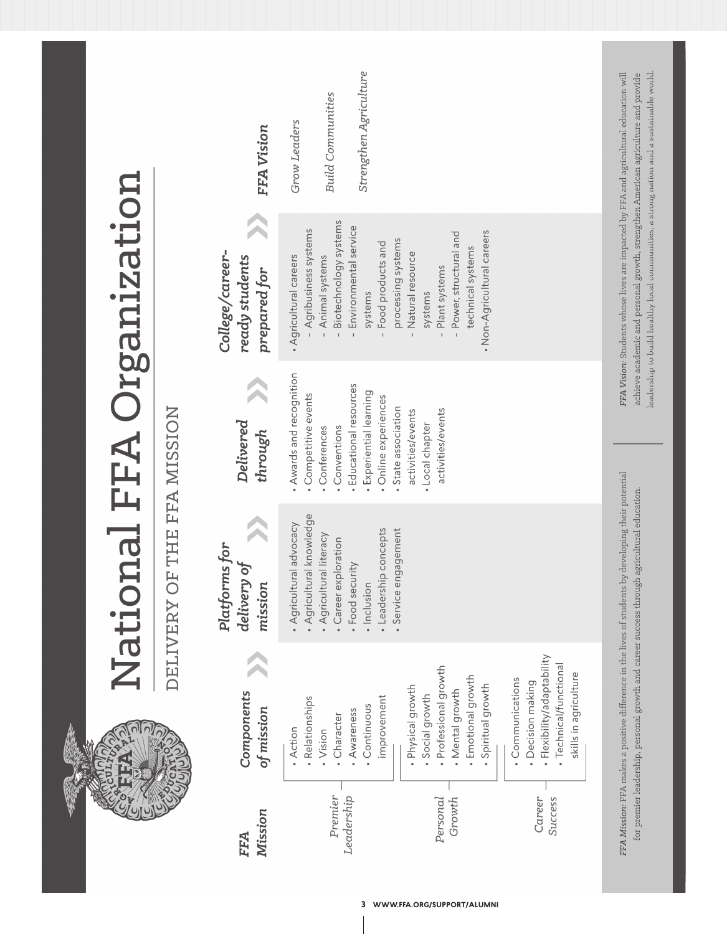|                           |                             | FFA Vision                                        | Strengthen Agriculture<br><b>Build Communities</b><br>Grow Leaders                                                                                                                                                                                                                                                                                 |                                                                                                                                                                                                                                                                     |
|---------------------------|-----------------------------|---------------------------------------------------|----------------------------------------------------------------------------------------------------------------------------------------------------------------------------------------------------------------------------------------------------------------------------------------------------------------------------------------------------|---------------------------------------------------------------------------------------------------------------------------------------------------------------------------------------------------------------------------------------------------------------------|
| National FFA Organization |                             | College/career-<br>ready students<br>prepared for | Biotechnology systems<br>Environmental service<br>- Agribusiness systems<br>• Non-Agricultural careers<br>Power, structural and<br>processing systems<br>Food products and<br>technical systems<br>Natural resource<br>Animal systems<br>• Agricultural careers<br>Plant systems<br>systems<br>systems                                             | leadership to build healthy local communities, a strong nation and a sustainable world<br>FFA Vision: Students whose lives are impacted by FFA and agricultural education will<br>achieve academic and personal growth, strengthen American agriculture and provide |
|                           |                             | Delivered<br>through                              | . Awards and recognition<br>Educational resources<br>· Experiential learning<br>· Competitive events<br>· Online experiences<br>• State association<br>activities/events<br>activities/events<br>• Local chapter<br>Conventions<br>Conferences                                                                                                     |                                                                                                                                                                                                                                                                     |
|                           | DELIVERY OF THE FFA MISSION | Platforms for<br>đ<br>delivery<br>mission         | Agricultural knowledge<br>· Agricultural advocacy<br>Service engagement<br>concepts<br>Agricultural literacy<br>Career exploration<br>Food security<br>Leadership<br>• Inclusion                                                                                                                                                                   |                                                                                                                                                                                                                                                                     |
|                           |                             | Components<br>of mission                          | Flexibility/adaptability<br>· Technical/functional<br>Professional growth<br>skills in agriculture<br>· Emotional growth<br>• Communications<br>· Decision making<br>Spiritual growth<br>· Physical growth<br>• Mental growth<br>Social growth<br>improvement<br>· Relationships<br>• Continuous<br>Awareness<br>Character<br>• Action<br>· Vision | FFA Mission: FFA makes a positive difference in the lives of students by developing their potential<br>for premier leadership, personal growth and career success through agricultural education.                                                                   |
|                           |                             | Mission<br>FFA                                    | Premier<br>Leadership<br>Personal<br>Growth<br>Career<br>Success                                                                                                                                                                                                                                                                                   |                                                                                                                                                                                                                                                                     |

**3 WWW.FFA.ORG/SUPPORT/ALUMNI**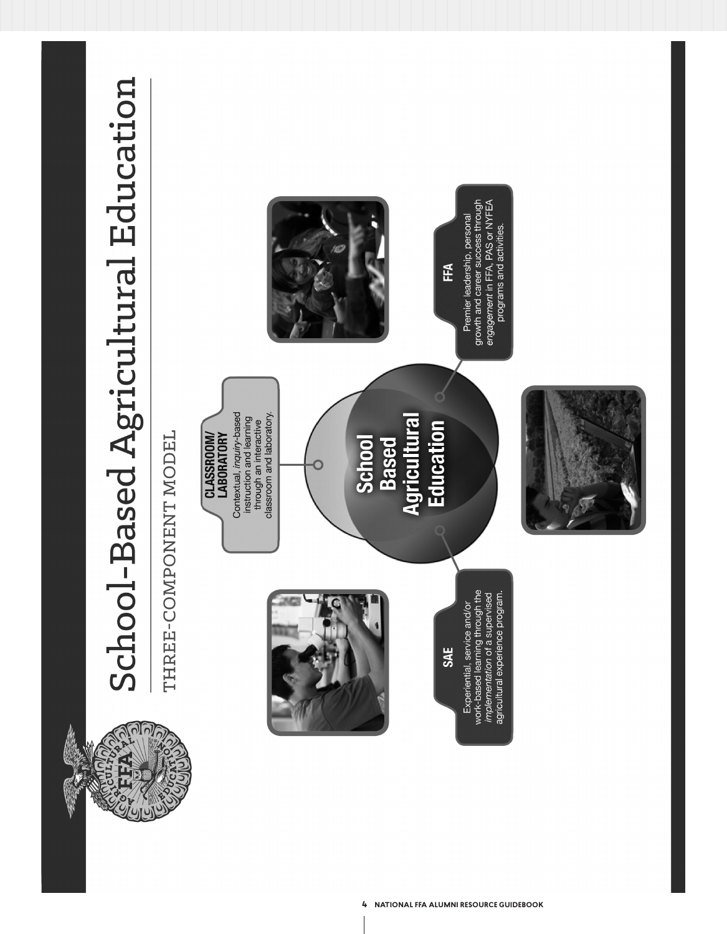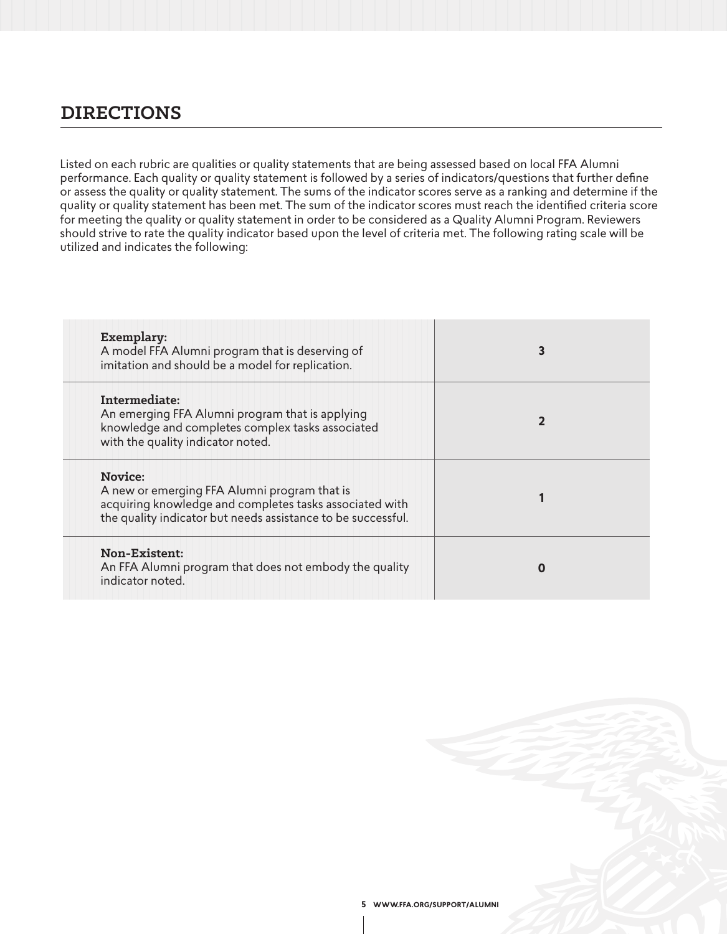# **DIRECTIONS**

Listed on each rubric are qualities or quality statements that are being assessed based on local FFA Alumni performance. Each quality or quality statement is followed by a series of indicators/questions that further define or assess the quality or quality statement. The sums of the indicator scores serve as a ranking and determine if the quality or quality statement has been met. The sum of the indicator scores must reach the identified criteria score for meeting the quality or quality statement in order to be considered as a Quality Alumni Program. Reviewers should strive to rate the quality indicator based upon the level of criteria met. The following rating scale will be utilized and indicates the following:

| Exemplary:<br>A model FFA Alumni program that is deserving of<br>imitation and should be a model for replication.                                                                         | 3 |
|-------------------------------------------------------------------------------------------------------------------------------------------------------------------------------------------|---|
| Intermediate:<br>An emerging FFA Alumni program that is applying<br>knowledge and completes complex tasks associated<br>with the quality indicator noted.                                 |   |
| <b>Novice:</b><br>A new or emerging FFA Alumni program that is<br>acquiring knowledge and completes tasks associated with<br>the quality indicator but needs assistance to be successful. |   |
| Non-Existent:<br>An FFA Alumni program that does not embody the quality<br>indicator noted.                                                                                               | 0 |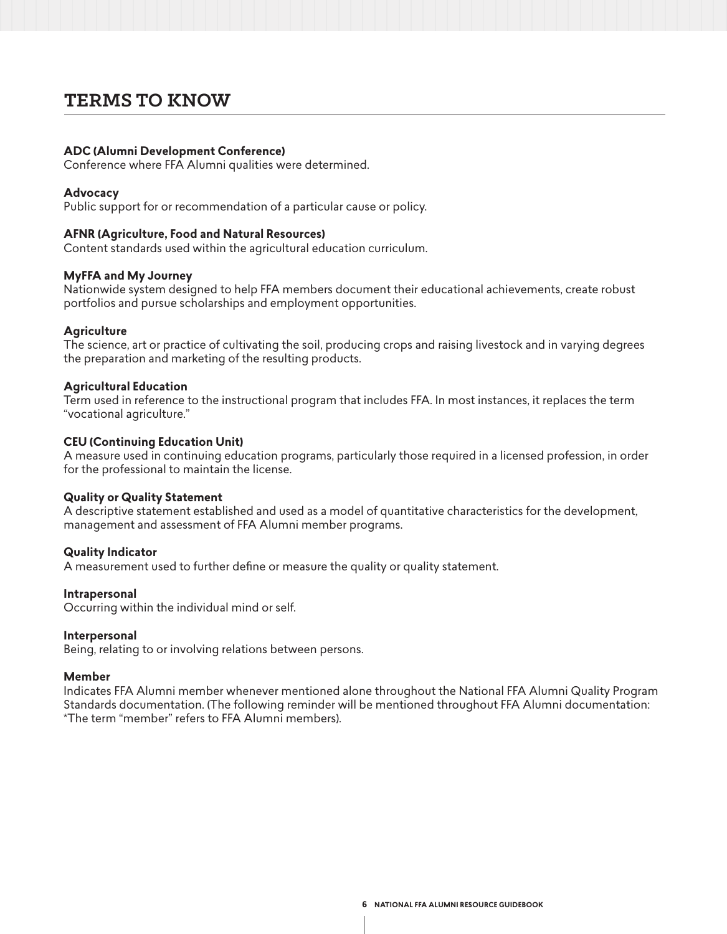# **TERMS TO KNOW**

#### **ADC (Alumni Development Conference)**

Conference where FFA Alumni qualities were determined.

#### **Advocacy**

Public support for or recommendation of a particular cause or policy.

#### **AFNR (Agriculture, Food and Natural Resources)**

Content standards used within the agricultural education curriculum.

#### **MyFFA and My Journey**

Nationwide system designed to help FFA members document their educational achievements, create robust portfolios and pursue scholarships and employment opportunities.

#### **Agriculture**

The science, art or practice of cultivating the soil, producing crops and raising livestock and in varying degrees the preparation and marketing of the resulting products.

#### **Agricultural Education**

Term used in reference to the instructional program that includes FFA. In most instances, it replaces the term "vocational agriculture."

#### **CEU (Continuing Education Unit)**

A measure used in continuing education programs, particularly those required in a licensed profession, in order for the professional to maintain the license.

#### **Quality or Quality Statement**

A descriptive statement established and used as a model of quantitative characteristics for the development, management and assessment of FFA Alumni member programs.

#### **Quality Indicator**

A measurement used to further define or measure the quality or quality statement.

#### **Intrapersonal**

Occurring within the individual mind or self.

#### **Interpersonal**

Being, relating to or involving relations between persons.

#### **Member**

Indicates FFA Alumni member whenever mentioned alone throughout the National FFA Alumni Quality Program Standards documentation. (The following reminder will be mentioned throughout FFA Alumni documentation: \*The term "member" refers to FFA Alumni members).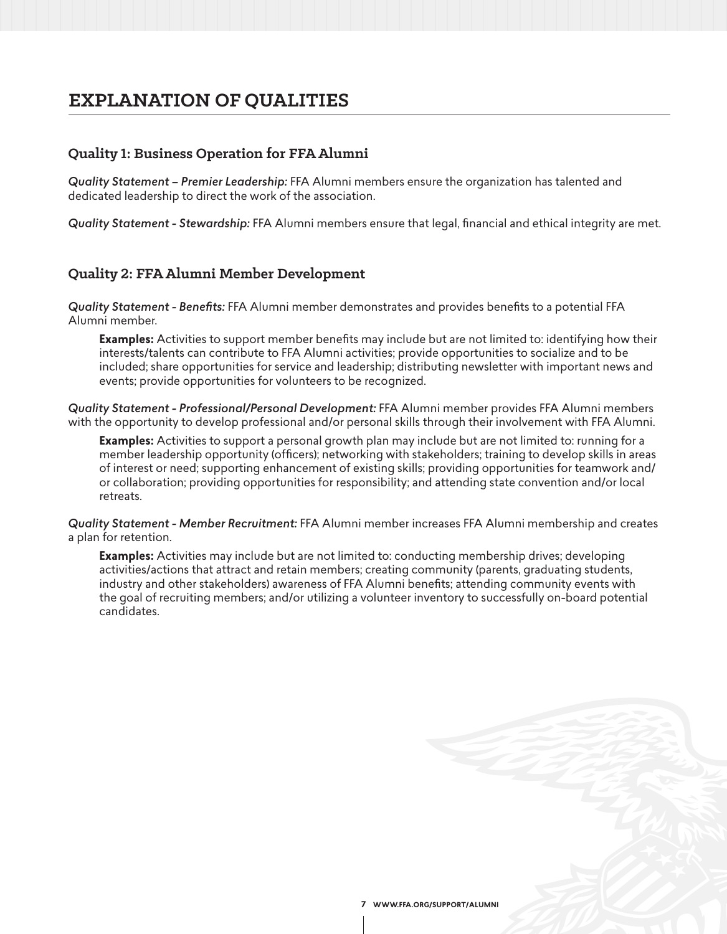# **EXPLANATION OF QUALITIES**

## **Quality 1: Business Operation for FFA Alumni**

*Quality Statement – Premier Leadership:* FFA Alumni members ensure the organization has talented and dedicated leadership to direct the work of the association.

*Quality Statement - Stewardship:* FFA Alumni members ensure that legal, financial and ethical integrity are met.

### **Quality 2: FFA Alumni Member Development**

*Quality Statement - Benefits:* FFA Alumni member demonstrates and provides benefits to a potential FFA Alumni member.

**Examples:** Activities to support member benefits may include but are not limited to: identifying how their interests/talents can contribute to FFA Alumni activities; provide opportunities to socialize and to be included; share opportunities for service and leadership; distributing newsletter with important news and events; provide opportunities for volunteers to be recognized.

*Quality Statement - Professional/Personal Development:* FFA Alumni member provides FFA Alumni members with the opportunity to develop professional and/or personal skills through their involvement with FFA Alumni.

**Examples:** Activities to support a personal growth plan may include but are not limited to: running for a member leadership opportunity (officers); networking with stakeholders; training to develop skills in areas of interest or need; supporting enhancement of existing skills; providing opportunities for teamwork and/ or collaboration; providing opportunities for responsibility; and attending state convention and/or local retreats.

*Quality Statement - Member Recruitment:* FFA Alumni member increases FFA Alumni membership and creates a plan for retention.

**Examples:** Activities may include but are not limited to: conducting membership drives; developing activities/actions that attract and retain members; creating community (parents, graduating students, industry and other stakeholders) awareness of FFA Alumni benefits; attending community events with the goal of recruiting members; and/or utilizing a volunteer inventory to successfully on-board potential candidates.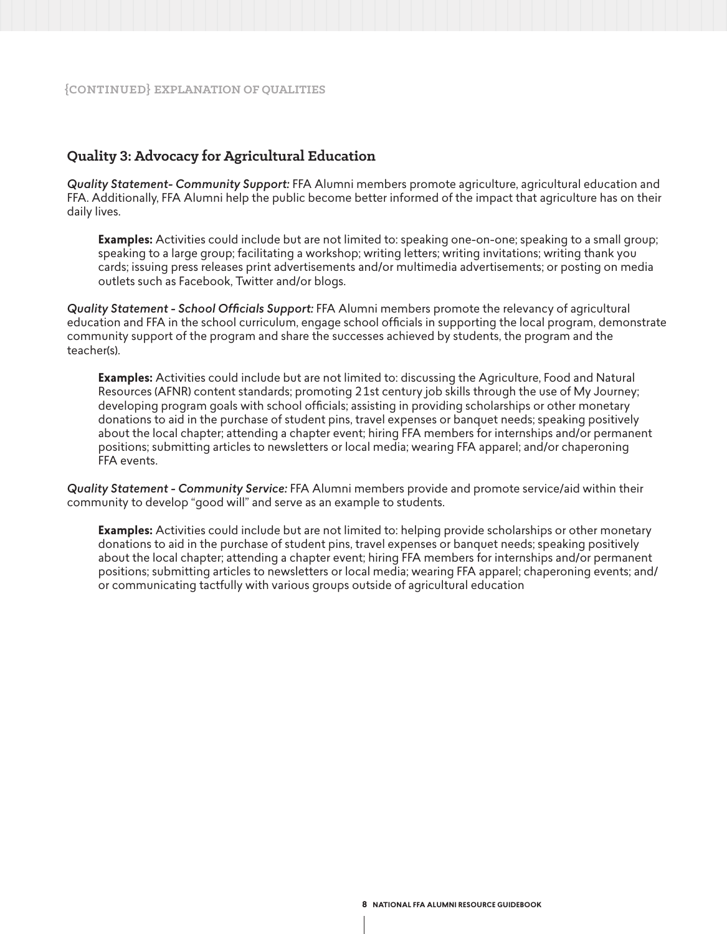### **Quality 3: Advocacy for Agricultural Education**

*Quality Statement- Community Support:* FFA Alumni members promote agriculture, agricultural education and FFA. Additionally, FFA Alumni help the public become better informed of the impact that agriculture has on their daily lives.

**Examples:** Activities could include but are not limited to: speaking one-on-one; speaking to a small group; speaking to a large group; facilitating a workshop; writing letters; writing invitations; writing thank you cards; issuing press releases print advertisements and/or multimedia advertisements; or posting on media outlets such as Facebook, Twitter and/or blogs.

*Quality Statement - School Officials Support:* FFA Alumni members promote the relevancy of agricultural education and FFA in the school curriculum, engage school officials in supporting the local program, demonstrate community support of the program and share the successes achieved by students, the program and the teacher(s).

**Examples:** Activities could include but are not limited to: discussing the Agriculture, Food and Natural Resources (AFNR) content standards; promoting 21st century job skills through the use of My Journey; developing program goals with school officials; assisting in providing scholarships or other monetary donations to aid in the purchase of student pins, travel expenses or banquet needs; speaking positively about the local chapter; attending a chapter event; hiring FFA members for internships and/or permanent positions; submitting articles to newsletters or local media; wearing FFA apparel; and/or chaperoning FFA events.

*Quality Statement - Community Service:* FFA Alumni members provide and promote service/aid within their community to develop "good will" and serve as an example to students.

**Examples:** Activities could include but are not limited to: helping provide scholarships or other monetary donations to aid in the purchase of student pins, travel expenses or banquet needs; speaking positively about the local chapter; attending a chapter event; hiring FFA members for internships and/or permanent positions; submitting articles to newsletters or local media; wearing FFA apparel; chaperoning events; and/ or communicating tactfully with various groups outside of agricultural education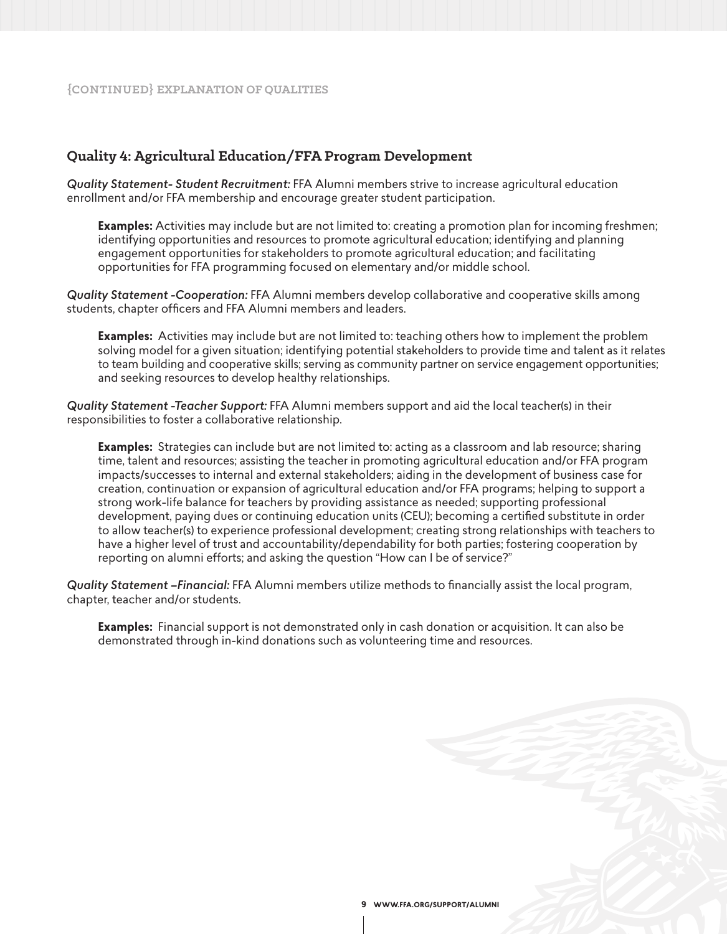### **Quality 4: Agricultural Education/FFA Program Development**

*Quality Statement- Student Recruitment:* FFA Alumni members strive to increase agricultural education enrollment and/or FFA membership and encourage greater student participation.

**Examples:** Activities may include but are not limited to: creating a promotion plan for incoming freshmen; identifying opportunities and resources to promote agricultural education; identifying and planning engagement opportunities for stakeholders to promote agricultural education; and facilitating opportunities for FFA programming focused on elementary and/or middle school.

*Quality Statement -Cooperation:* FFA Alumni members develop collaborative and cooperative skills among students, chapter officers and FFA Alumni members and leaders.

**Examples:** Activities may include but are not limited to: teaching others how to implement the problem solving model for a given situation; identifying potential stakeholders to provide time and talent as it relates to team building and cooperative skills; serving as community partner on service engagement opportunities; and seeking resources to develop healthy relationships.

*Quality Statement -Teacher Support:* FFA Alumni members support and aid the local teacher(s) in their responsibilities to foster a collaborative relationship.

**Examples:** Strategies can include but are not limited to: acting as a classroom and lab resource; sharing time, talent and resources; assisting the teacher in promoting agricultural education and/or FFA program impacts/successes to internal and external stakeholders; aiding in the development of business case for creation, continuation or expansion of agricultural education and/or FFA programs; helping to support a strong work-life balance for teachers by providing assistance as needed; supporting professional development, paying dues or continuing education units (CEU); becoming a certified substitute in order to allow teacher(s) to experience professional development; creating strong relationships with teachers to have a higher level of trust and accountability/dependability for both parties; fostering cooperation by reporting on alumni efforts; and asking the question "How can I be of service?"

*Quality Statement –Financial:* FFA Alumni members utilize methods to financially assist the local program, chapter, teacher and/or students.

**Examples:** Financial support is not demonstrated only in cash donation or acquisition. It can also be demonstrated through in-kind donations such as volunteering time and resources.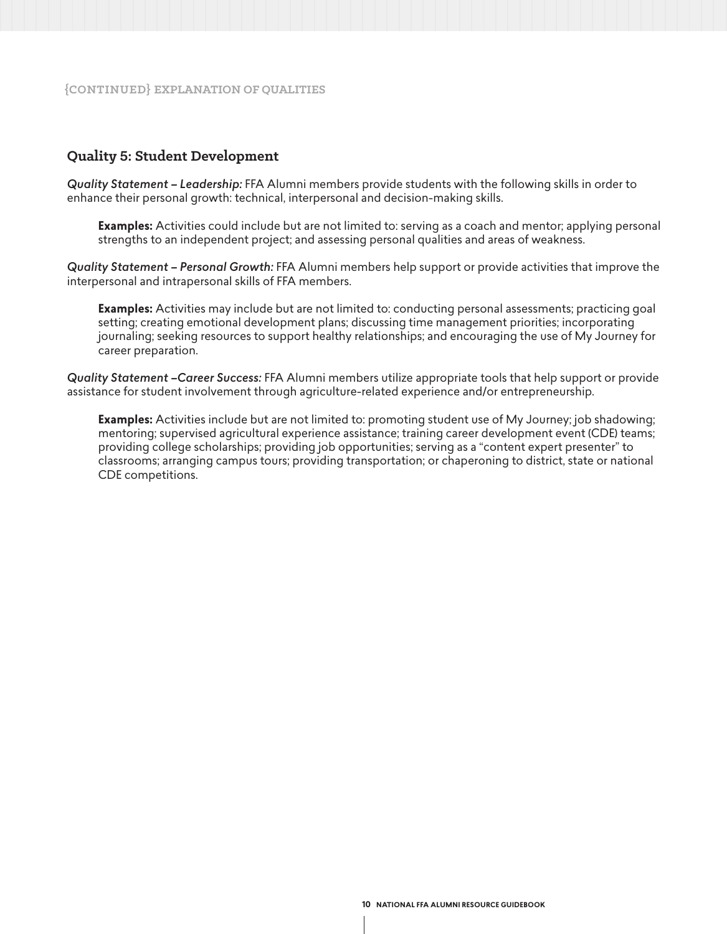## **Quality 5: Student Development**

*Quality Statement – Leadership:* FFA Alumni members provide students with the following skills in order to enhance their personal growth: technical, interpersonal and decision-making skills.

**Examples:** Activities could include but are not limited to: serving as a coach and mentor; applying personal strengths to an independent project; and assessing personal qualities and areas of weakness.

*Quality Statement – Personal Growth:* FFA Alumni members help support or provide activities that improve the interpersonal and intrapersonal skills of FFA members.

**Examples:** Activities may include but are not limited to: conducting personal assessments; practicing goal setting; creating emotional development plans; discussing time management priorities; incorporating journaling; seeking resources to support healthy relationships; and encouraging the use of My Journey for career preparation.

*Quality Statement –Career Success:* FFA Alumni members utilize appropriate tools that help support or provide assistance for student involvement through agriculture-related experience and/or entrepreneurship.

**Examples:** Activities include but are not limited to: promoting student use of My Journey; job shadowing; mentoring; supervised agricultural experience assistance; training career development event (CDE) teams; providing college scholarships; providing job opportunities; serving as a "content expert presenter" to classrooms; arranging campus tours; providing transportation; or chaperoning to district, state or national CDE competitions.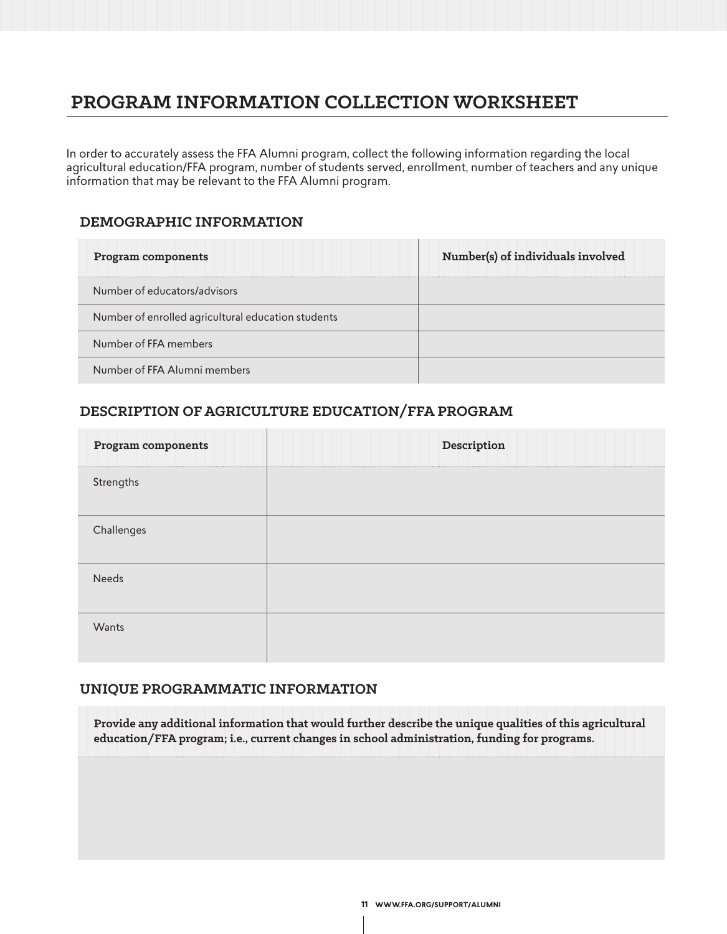# **PROGRAM INFORMATION COLLECTION WORKSHEET**

In order to accurately assess the FFA Alumni program, collect the following information regarding the local agricultural education/FFA program, number of students served, enrollment, number of teachers and any unique information that may be relevant to the FFA Alumni program.

### **DEMOGRAPHIC INFORMATION**

| Program components                                 | Number(s) of individuals involved |
|----------------------------------------------------|-----------------------------------|
| Number of educators/advisors                       |                                   |
| Number of enrolled agricultural education students |                                   |
| Number of FFA members                              |                                   |
| Number of FFA Alumni members                       |                                   |

# **DESCRIPTION OF AGRICULTURE EDUCATION/FFA PROGRAM**

| Program components | Description |
|--------------------|-------------|
| Strengths          |             |
| Challenges         |             |
| Needs              |             |
| Wants              |             |

## **UNIQUE PROGRAMMATIC INFORMATION**

**Provide any additional information that would further describe the unique qualities of this agricultural education/FFA program; i.e., current changes in school administration, funding for programs.**